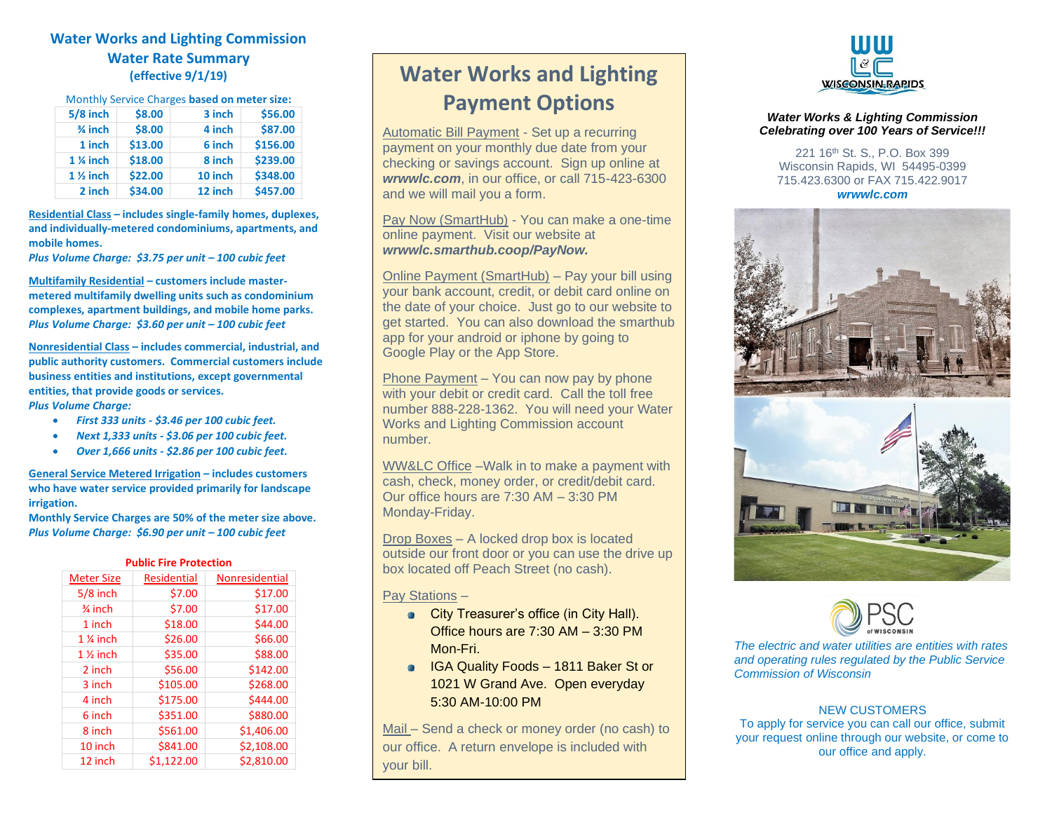## **Water Works and Lighting Commission Water Rate Summary (effective 9/1/19)**

| $5/8$ inch          | \$8.00  | 3 inch  | \$56.00  |
|---------------------|---------|---------|----------|
| $\frac{3}{4}$ inch  | \$8.00  | 4 inch  | \$87.00  |
| 1 inch              | \$13.00 | 6 inch  | \$156.00 |
| 1 % inch            | \$18.00 | 8 inch  | \$239.00 |
| $1\frac{1}{2}$ inch | \$22.00 | 10 inch | \$348.00 |
| 2 inch              | \$34.00 | 12 inch | \$457.00 |

**Residential Class – includes single-family homes, duplexes, and individually-metered condominiums, apartments, and mobile homes.** 

*Plus Volume Charge: \$3.75 per unit – 100 cubic feet*

**Multifamily Residential – customers include mastermetered multifamily dwelling units such as condominium complexes, apartment buildings, and mobile home parks.**  *Plus Volume Charge: \$3.60 per unit – 100 cubic feet*

**Nonresidential Class – includes commercial, industrial, and public authority customers. Commercial customers include business entities and institutions, except governmental entities, that provide goods or services.**  *Plus Volume Charge:*

- *First 333 units - \$3.46 per 100 cubic feet.*
- *Next 1,333 units - \$3.06 per 100 cubic feet.*
- *Over 1,666 units - \$2.86 per 100 cubic feet.*

**General Service Metered Irrigation – includes customers who have water service provided primarily for landscape irrigation.** 

**Monthly Service Charges are 50% of the meter size above.** *Plus Volume Charge: \$6.90 per unit – 100 cubic feet*

| <b>Public Fire Protection</b> |                    |                       |
|-------------------------------|--------------------|-----------------------|
| <b>Meter Size</b>             | <b>Residential</b> | <b>Nonresidential</b> |
| $5/8$ inch                    | \$7.00             | \$17.00               |
| $\frac{3}{4}$ inch            | \$7.00             | \$17.00               |
| 1 inch                        | \$18.00            | \$44.00               |
| $1\%$ inch                    | \$26.00            | \$66.00               |
| $1\frac{1}{2}$ inch           | \$35.00            | \$88.00               |
| 2 inch                        | \$56.00            | \$142.00              |
| 3 inch                        | \$105.00           | \$268.00              |
| 4 inch                        | \$175.00           | \$444.00              |
| 6 inch                        | \$351.00           | \$880.00              |
| 8 inch                        | \$561.00           | \$1,406.00            |
| 10 inch                       | \$841.00           | \$2,108.00            |
| 12 inch                       | \$1,122.00         | \$2,810.00            |

# **Water Works and Lighting Payment Options**

Automatic Bill Payment - Set up a recurring payment on your monthly due date from your checking or savings account. Sign up online at *wrwwlc.com*, in our office, or call 715-423-6300 and we will mail you a form.

Pay Now (SmartHub) - You can make a one-time online payment. Visit our website at *wrwwlc.smarthub.coop/PayNow.*

Online Payment (SmartHub) – Pay your bill using your bank account, credit, or debit card online on the date of your choice. Just go to our website to get started. You can also download the smarthub app for your android or iphone by going to Google Play or the App Store.

Phone Payment – You can now pay by phone with your debit or credit card. Call the toll free number 888-228-1362. You will need your Water Works and Lighting Commission account number.

WW&LC Office –Walk in to make a payment with cash, check, money order, or credit/debit card. Our office hours are 7:30 AM – 3:30 PM Monday-Friday.

Drop Boxes – A locked drop box is located outside our front door or you can use the drive up box located off Peach Street (no cash).

Pay Stations –

- **City Treasurer's office (in City Hall).** Office hours are 7:30 AM – 3:30 PM Mon-Fri.
- **IGA Quality Foods 1811 Baker St or** 1021 W Grand Ave. Open everyday 5:30 AM-10:00 PM

Mail – Send a check or money order (no cash) to our office. A return envelope is included with your bill.



#### *Water Works & Lighting Commission Celebrating over 100 Years of Service!!!*

221 16th St. S., P.O. Box 399 Wisconsin Rapids, WI 54495-0399 715.423.6300 or FAX 715.422.9017 *wrwwlc.com*





*The electric and water utilities are entities with rates and operating rules regulated by the Public Service Commission of Wisconsin*

#### NEW CUSTOMERS

To apply for service you can call our office, submit your request online through our website, or come to our office and apply.